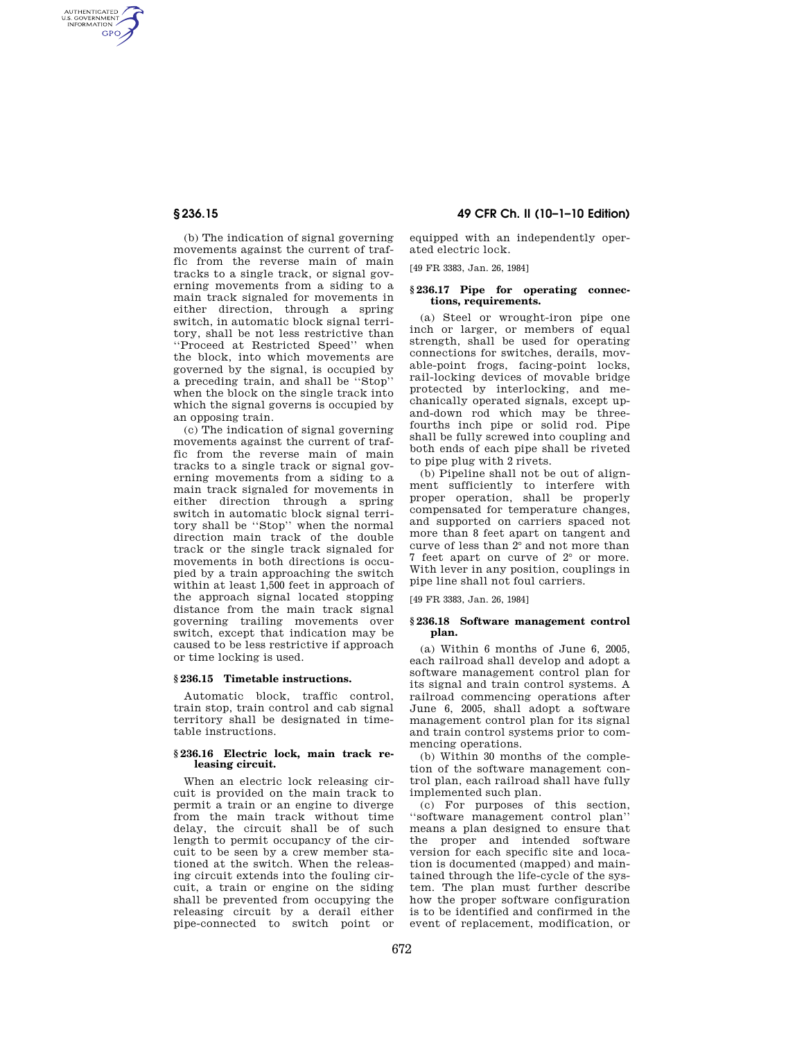AUTHENTICATED<br>U.S. GOVERNMENT<br>INFORMATION **GPO** 

> (b) The indication of signal governing movements against the current of traffic from the reverse main of main tracks to a single track, or signal governing movements from a siding to a main track signaled for movements in either direction, through a spring switch, in automatic block signal territory, shall be not less restrictive than ''Proceed at Restricted Speed'' when the block, into which movements are governed by the signal, is occupied by a preceding train, and shall be ''Stop'' when the block on the single track into which the signal governs is occupied by an opposing train.

> (c) The indication of signal governing movements against the current of traffic from the reverse main of main tracks to a single track or signal governing movements from a siding to a main track signaled for movements in either direction through a spring switch in automatic block signal territory shall be ''Stop'' when the normal direction main track of the double track or the single track signaled for movements in both directions is occupied by a train approaching the switch within at least 1,500 feet in approach of the approach signal located stopping distance from the main track signal governing trailing movements over switch, except that indication may be caused to be less restrictive if approach or time locking is used.

## **§ 236.15 Timetable instructions.**

Automatic block, traffic control, train stop, train control and cab signal territory shall be designated in timetable instructions.

## **§ 236.16 Electric lock, main track releasing circuit.**

When an electric lock releasing circuit is provided on the main track to permit a train or an engine to diverge from the main track without time delay, the circuit shall be of such length to permit occupancy of the circuit to be seen by a crew member stationed at the switch. When the releasing circuit extends into the fouling circuit, a train or engine on the siding shall be prevented from occupying the releasing circuit by a derail either pipe-connected to switch point or

# **§ 236.15 49 CFR Ch. II (10–1–10 Edition)**

equipped with an independently operated electric lock.

[49 FR 3383, Jan. 26, 1984]

## **§ 236.17 Pipe for operating connections, requirements.**

(a) Steel or wrought-iron pipe one inch or larger, or members of equal strength, shall be used for operating connections for switches, derails, movable-point frogs, facing-point locks, rail-locking devices of movable bridge protected by interlocking, and mechanically operated signals, except upand-down rod which may be threefourths inch pipe or solid rod. Pipe shall be fully screwed into coupling and both ends of each pipe shall be riveted to pipe plug with 2 rivets.

(b) Pipeline shall not be out of alignment sufficiently to interfere with proper operation, shall be properly compensated for temperature changes, and supported on carriers spaced not more than 8 feet apart on tangent and curve of less than 2° and not more than 7 feet apart on curve of 2° or more. With lever in any position, couplings in pipe line shall not foul carriers.

[49 FR 3383, Jan. 26, 1984]

## **§ 236.18 Software management control plan.**

(a) Within 6 months of June 6, 2005, each railroad shall develop and adopt a software management control plan for its signal and train control systems. A railroad commencing operations after June 6, 2005, shall adopt a software management control plan for its signal and train control systems prior to commencing operations.

(b) Within 30 months of the completion of the software management control plan, each railroad shall have fully implemented such plan.

(c) For purposes of this section, ''software management control plan'' means a plan designed to ensure that the proper and intended software version for each specific site and location is documented (mapped) and maintained through the life-cycle of the system. The plan must further describe how the proper software configuration is to be identified and confirmed in the event of replacement, modification, or